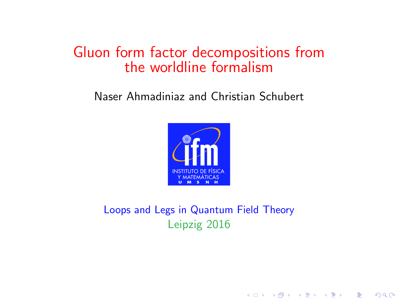#### Gluon form factor decompositions from the worldline formalism

#### Naser Ahmadiniaz and Christian Schubert



Loops and Legs in Quantum Field Theory Leipzig 2016

★ ロメ (4 御) > (唐) > (唐) → [唐]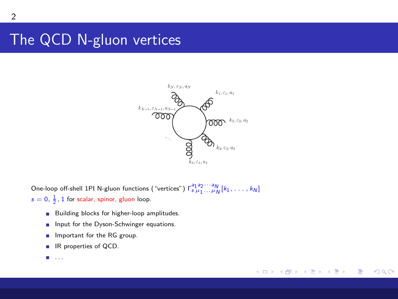## The QCD N-gluon vertices



K ロ ▶ K 御 ▶ K 君 ▶ K 君 ▶

 $299$ 

Ε

One-loop off-shell 1PI N-gluon functions ("vertices")  $\Gamma_{s\mu_1...\mu_N}^{a_1a_2\cdots a_N}[k_1,\ldots,k_N]$  $s = 0, \frac{1}{2}, 1$  for scalar, spinor, gluon loop.

- **Building blocks for higher-loop amplitudes.**
- Input for the Dyson-Schwinger equations. **The Contractor**
- Important for the RG group. m.
- IR properties of QCD.
- ш . . .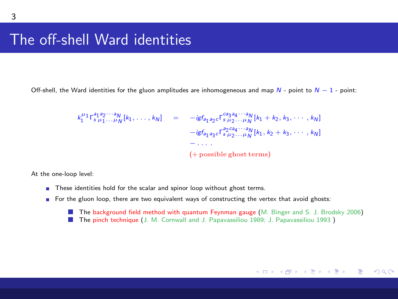#### The off-shell Ward identities

Off-shell, the Ward identities for the gluon amplitudes are inhomogeneous and map  $N$  - point to  $N-1$  - point:

$$
k_1^{\mu_1} \Gamma_{s_1 a_1 \cdots \mu_N}^{\mu_1 a_2 \cdots a_N} [k_1, \ldots, k_N] = -ig f_{a_1 a_2 c} \Gamma_{s_1 a_2 \cdots a_N}^{\mu_2 \cdots a_N} [k_1 + k_2, k_3, \cdots, k_N]
$$
  

$$
-ig f_{a_1 a_3 c} \Gamma_{s_1 a_2 \cdots a_N}^{a_2 a_3 \cdots a_N} [k_1, k_2 + k_3, \cdots, k_N]
$$
  

$$
- \cdots
$$
  

$$
(+ \text{possible ghost terms})
$$

At the one-loop level:

- These identities hold for the scalar and spinor loop without ghost terms.
- <span id="page-2-0"></span>For the gluon loop, there are two equivalent ways of constructing the vertex that avoid ghosts:
	- **The background field method with quantum Feynman gauge (**M. Binger and S. J. Brodsky 2006)
	- The pinch technique (J. M. Cornwall and J. Papavassiliou 1989; J. Papavassiliou 1993 )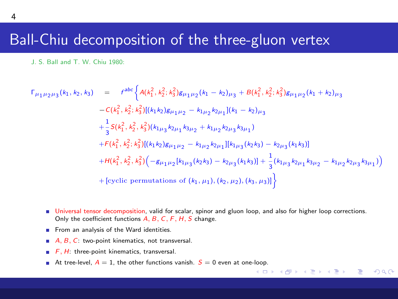#### Ball-Chiu decomposition of the three-gluon vertex

J. S. Ball and T. W. Chiu 1980:

$$
\Gamma_{\mu_1\mu_2\mu_3}(k_1, k_2, k_3) = f^{abc} \Big\{ A(k_1^2, k_2^2, k_3^2) g_{\mu_1\mu_2}(k_1 - k_2)_{\mu_3} + B(k_1^2, k_2^2, k_3^2) g_{\mu_1\mu_2}(k_1 + k_2)_{\mu_3} \n- C(k_1^2, k_2^2, k_3^2) [(k_1k_2) g_{\mu_1\mu_2} - k_{1\mu_2} k_{2\mu_1}](k_1 - k_2)_{\mu_3} \n+ \frac{1}{3} S(k_1^2, k_2^2, k_3^2) [(k_1k_3) k_{2\mu_1} k_{3\mu_2} + k_{1\mu_2} k_{2\mu_3} k_{3\mu_1}) \n+ F(k_1^2, k_2^2, k_3^2) [(k_1k_2) g_{\mu_1\mu_2} - k_{1\mu_2} k_{2\mu_1}][k_{1\mu_3}(k_2k_3) - k_{2\mu_3}(k_1k_3)] \n+ H(k_1^2, k_2^2, k_3^2) (-g_{\mu_1\mu_2}[k_{1\mu_3}(k_2k_3) - k_{2\mu_3}(k_1k_3)] + \frac{1}{3} (k_{1\mu_3} k_{2\mu_1} k_{3\mu_2} - k_{1\mu_2} k_{2\mu_3} k_{3\mu_1})
$$
\n+ [cyclic permutations of  $(k_1, \mu_1), (k_2, \mu_2), (k_3, \mu_3)]$ }

Universal tensor decomposition, valid for scalar, spinor and gluon loop, and also for higher loop corrections. Only the coefficient functions A, B, C, F, H, S change.

メロメ メ母メ メミメ メミメ

G.

 $\Omega$ 

- From an analysis of the Ward identities.
- $A, B, C$ : two-point kinematics, not transversal.
- $F, H$ : three-point kinematics, transversal.
- At tree-level,  $A = 1$ , the other functions vanish.  $S = 0$  even at one[-loo](#page-2-0)p.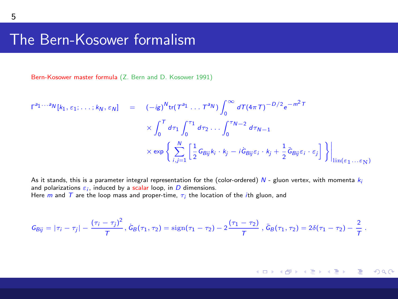#### The Bern-Kosower formalism

Bern-Kosower master formula (Z. Bern and D. Kosower 1991)

$$
\Gamma^{a_1...a_N}[k_1,\varepsilon_1;\ldots;k_N,\varepsilon_N] = (-ig)^{N} \text{tr}(T^{a_1}\ldots T^{a_N}) \int_0^\infty dT (4\pi T)^{-D/2} e^{-m^2 T}
$$
  
 
$$
\times \int_0^T d\tau_1 \int_0^{\tau_1} d\tau_2 \ldots \int_0^{\tau_N-2} d\tau_{N-1}
$$
  
 
$$
\times \exp\left\{\sum_{i,j=1}^N \left[\frac{1}{2} G_{Bij} k_i \cdot k_j - i \dot{G}_{Bij} \varepsilon_i \cdot k_j + \frac{1}{2} \ddot{G}_{Bij} \varepsilon_i \cdot \varepsilon_j\right]\right\}\Big|_{\text{lin}(\varepsilon_1...\varepsilon_N)}
$$

As it stands, this is a parameter integral representation for the (color-ordered) N - gluon vertex, with momenta  $k_i$ and polarizations  $\varepsilon_i$ , induced by a scalar loop, in  $D$  dimensions. Here  $m$  and  $T$  are the loop mass and proper-time,  $\tau_i$  the location of the *i*th gluon, and

$$
G_{Bij}=|\tau_i-\tau_j|-\frac{(\tau_i-\tau_j)^2}{T},\,\dot{G}_B(\tau_1,\tau_2)=\text{sign}(\tau_1-\tau_2)-2\frac{(\tau_1-\tau_2)}{T},\,\ddot{G}_B(\tau_1,\tau_2)=2\delta(\tau_1-\tau_2)-\frac{2}{T}\,.
$$

メロト メタト メミトメ

 $\Rightarrow$ Ε  $\Omega$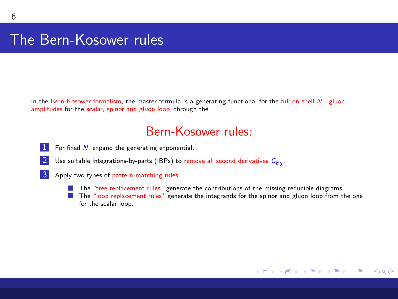### The Bern-Kosower rules

In the Bern-Kosower formalism, the master formula is a generating functional for the full on-shell  $N$  - gluon amplitudes for the scalar, spinor and gluon loop, through the

#### <span id="page-5-0"></span>Bern-Kosower rules:

- $1$  For fixed  $N$ , expand the generating exponential.
- 2 Use suitable integrations-by-parts (IBPs) to remove all second derivatives  $\ddot{G}_{Bij}$ .
- **3** Apply two types of pattern-matching rules:
	- **The "tree replacement rules"** generate the contributions of the missing reducible diagrams.
	- **The "loop replacement rules"** generate the integrands for the spinor and gluon loop from the one for the scalar loop.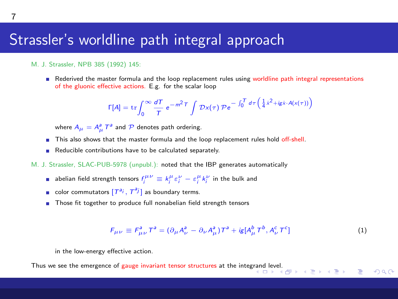#### Strassler's worldline path integral approach

#### M. J. Strassler, NPB 385 (1992) 145:

Rederived the master formula and the loop replacement rules using worldline path integral representations of the gluonic effective actions. E.g. for the scalar loop

$$
\Gamma[A] = \text{tr} \int_0^\infty \frac{dT}{T} e^{-m^2 T} \int \mathcal{D}x(\tau) \mathcal{P} e^{-\int_0^T d\tau \left(\frac{1}{4} \dot{x}^2 + i \dot{g} \dot{x} \cdot A(x(\tau))\right)}
$$

where  $A_{\mu} = A_{\mu}^{a} T^{a}$  and  $P$  denotes path ordering.

- **This also shows that the master formula and the loop replacement rules hold off-shell.**
- Reducible contributions have to be calculated separately.
- M. J. Strassler, SLAC-PUB-5978 (unpubl.): noted that the IBP generates automatically
	- abelian field strength tensors  $f_i^{\mu\nu} \equiv k_i^{\mu} \varepsilon_i^{\nu} \varepsilon_i^{\mu} k_i^{\nu}$  in the bulk and
	- color commutators  $[T^{a_i}, T^{a_j}]$  as boundary terms.
	- Those fit together to produce full nonabelian field strength tensors

$$
F_{\mu\nu} \equiv F_{\mu\nu}^a T^a = (\partial_\mu A_\nu^a - \partial_\nu A_\mu^a) T^a + i g [A_\mu^b T^b, A_\nu^c T^c]
$$
(1)

重

<span id="page-6-0"></span> $\Omega$ 

in the low-energy effective action.

Thus we see the emergence of gauge invariant tensor structures at the integ[rand](#page-5-0) [lev](#page-7-0)[el.](#page-5-0)<br> $\longleftrightarrow$   $\overline{B}$   $\rightarrow$   $\overline{B}$   $\rightarrow$   $\overline{B}$   $\rightarrow$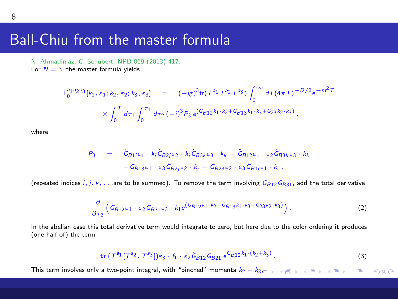#### Ball-Chiu from the master formula

N. Ahmadiniaz, C. Schubert, NPB 869 (2013) 417: For  $N = 3$ , the master formula yields

$$
\Gamma_0^{a_1a_2a_3}[k_1,\varepsilon_1;k_2,\varepsilon_2;k_3,\varepsilon_3] = (-ig)^3\text{tr}(T^{a_1}T^{a_2}T^{a_3})\int_0^\infty dT(4\pi T)^{-D/2}e^{-m^2T}
$$
  
 
$$
\times \int_0^T d\tau_1 \int_0^{\tau_1} d\tau_2 (-i)^3 P_3 e^{(G_{B12}k_1+k_2+G_{B13}k_1+k_3+G_{23}k_2+k_3)},
$$

where

$$
P_3 = \tilde{G}_{B1i}\varepsilon_1 \cdot k_i \tilde{G}_{B2j}\varepsilon_2 \cdot k_j \tilde{G}_{B3k}\varepsilon_3 \cdot k_k - \tilde{G}_{B12}\varepsilon_1 \cdot \varepsilon_2 \tilde{G}_{B3k}\varepsilon_3 \cdot k_k
$$
  

$$
-\tilde{G}_{B13}\varepsilon_1 \cdot \varepsilon_3 \tilde{G}_{B2j}\varepsilon_2 \cdot k_j - \tilde{G}_{B23}\varepsilon_2 \cdot \varepsilon_3 \tilde{G}_{B1i}\varepsilon_1 \cdot k_i,
$$

(repeated indices  $i,j,k,\dots$  are to be summed). To remove the term involving  $\ddot G_{B12}\dot G_{B31}$ , add the total derivative

$$
-\frac{\partial}{\partial \tau_2} \left( \dot{G}_{B12} \varepsilon_1 \cdot \varepsilon_2 \dot{G}_{B31} \varepsilon_3 \cdot k_1 e^{(G_{B12} k_1 \cdot k_2 + G_{B13} k_1 \cdot k_3 + G_{23} k_2 \cdot k_3)} \right).
$$
 (2)

In the abelian case this total derivative term would integrate to zero, but here due to the color ordering it produces (one half of) the term

<span id="page-7-0"></span>
$$
\mathrm{tr}\,(T^{a_1}[T^{a_2},\,T^{a_3}])\varepsilon_3\cdot f_1\cdot\varepsilon_2\,\dot{G}_{B12}\,\dot{G}_{B21}\,\,e^{G_{B12}k_1\cdot(k_2+k_3)}\,. \tag{3}
$$

This term involves only a two-point integral, with "pinched" momenta k2 + [k](#page-6-0)3, $QQQ$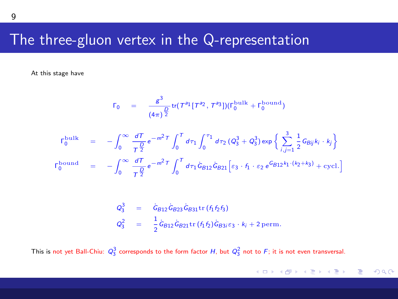#### The three-gluon vertex in the Q-representation

At this stage have

$$
\Gamma_0 = \frac{g^3}{(4\pi)^{\frac{D}{2}}} \text{tr}(T^{a_1}[T^{a_2}, T^{a_3}]) (\Gamma_0^{\text{bulk}} + \Gamma_0^{\text{bound}})
$$

$$
\Gamma_0^{\text{bulk}} = -\int_0^\infty \frac{d\tau}{\tau_2^{D}} e^{-m^2 \tau} \int_0^\tau d\tau_1 \int_0^{\tau_1} d\tau_2 (Q_3^3 + Q_3^3) \exp \left\{ \sum_{i,j=1}^3 \frac{1}{2} G_{Bij} k_i \cdot k_j \right\}
$$
  

$$
\Gamma_0^{\text{bound}} = -\int_0^\infty \frac{d\tau}{\tau_2^{D}} e^{-m^2 \tau} \int_0^\tau d\tau_1 \dot{G}_{B12} \dot{G}_{B21} \left[ \varepsilon_3 \cdot f_1 \cdot \varepsilon_2 e^{G_{B12} k_1 \cdot (k_2 + k_3)} + \text{cycl.} \right]
$$

$$
Q_3^3 = \dot{G}_{B12} \dot{G}_{B23} \dot{G}_{B31} \text{tr}(f_1 f_2 f_3)
$$
  

$$
Q_3^2 = \frac{1}{2} \dot{G}_{B12} \dot{G}_{B21} \text{tr}(f_1 f_2) \dot{G}_{B3j} \varepsilon_3 \cdot k_j + 2 \text{ perm.}
$$

This is not yet Ball-Chiu:  $Q_3^3$  corresponds to the form factor H, but  $Q_3^2$  not to F; it is not even transversal.

メロトメ 御 トメ 君 トメ 君 トー 君  $2990$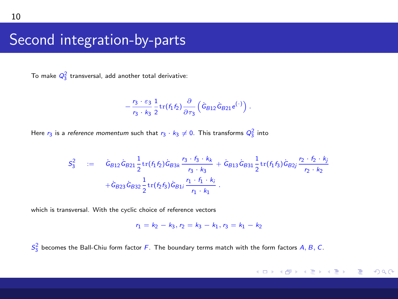### Second integration-by-parts

To make  $Q_3^2$  transversal, add another total derivative:

$$
-\frac{r_3 \cdot \varepsilon_3}{r_3 \cdot k_3} \frac{1}{2} \text{tr}(f_1 f_2) \frac{\partial}{\partial \tau_3} \left( \tilde{G}_{B12} \tilde{G}_{B21} e^{(\cdot)} \right).
$$

Here  $r_3$  is a *reference momentum* such that  $r_3 \cdot k_3 \neq 0$ . This transforms  $Q_3^2$  into

$$
S_3^2 = \dot{G}_{B12}\dot{G}_{B21}\frac{1}{2}\text{tr}(f_1f_2)\dot{G}_{B3k}\frac{r_3 \cdot f_3 \cdot k_k}{r_3 \cdot k_3} + \dot{G}_{B13}\dot{G}_{B31}\frac{1}{2}\text{tr}(f_1f_3)\dot{G}_{B2j}\frac{r_2 \cdot f_2 \cdot k_j}{r_2 \cdot k_2} + \dot{G}_{B23}\dot{G}_{B32}\frac{1}{2}\text{tr}(f_2f_3)\dot{G}_{B1j}\frac{r_1 \cdot f_1 \cdot k_j}{r_1 \cdot k_1}.
$$

which is transversal. With the cyclic choice of reference vectors

$$
r_1 = k_2 - k_3, r_2 = k_3 - k_1, r_3 = k_1 - k_2
$$

 $S_3^2$  becomes the Ball-Chiu form factor F. The boundary terms match with the form factors A, B, C.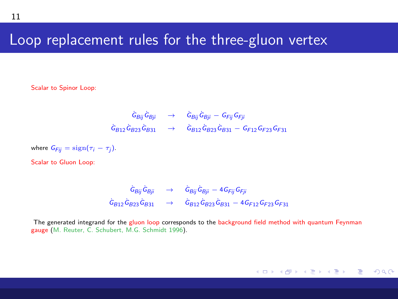#### Loop replacement rules for the three-gluon vertex

Scalar to Spinor Loop:

$$
\begin{array}{ccc}\n\dot{G}_{Bjj}\dot{G}_{Bjj}&\to&\dot{G}_{Bjj}\dot{G}_{Bjj}-G_{Fjj}G_{Fji} \\
\dot{G}_{B12}\dot{G}_{B23}\dot{G}_{B31}&\to&\dot{G}_{B12}\dot{G}_{B23}\dot{G}_{B31}-G_{F12}G_{F23}G_{F31}\n\end{array}
$$

where  $G_{Fij} = sign(\tau_i - \tau_j)$ .

Scalar to Gluon Loop:

$$
\begin{array}{rcl}\dot{G}_{Bij}\dot{G}_{Bji}&\to&\dot{G}_{Bij}\dot{G}_{Bji}-4\,G_{Fij}\,G_{Fji}\\ \dot{G}_{B12}\dot{G}_{B23}\dot{G}_{B31}&\to&\dot{G}_{B12}\dot{G}_{B23}\dot{G}_{B31}-4\,G_{F12}\,G_{F23}\,G_{F31}\end{array}
$$

The generated integrand for the gluon loop corresponds to the background field method with quantum Feynman gauge (M. Reuter, C. Schubert, M.G. Schmidt 1996).

メロメ メ御 メメ きょくきょう  $QQ$ G.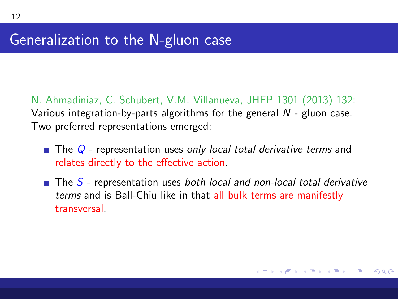N. Ahmadiniaz, C. Schubert, V.M. Villanueva, JHEP 1301 (2013) 132: Various integration-by-parts algorithms for the general  $N$  - gluon case. Two preferred representations emerged:

- $\blacksquare$  The Q representation uses only local total derivative terms and relates directly to the effective action.
- **The S** representation uses both local and non-local total derivative terms and is Ball-Chiu like in that all bulk terms are manifestly transversal.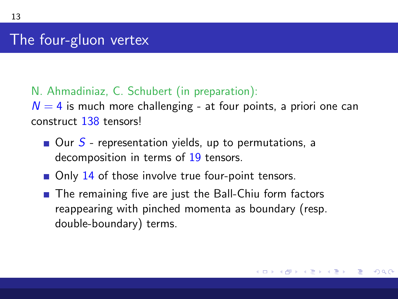13

#### N. Ahmadiniaz, C. Schubert (in preparation):

 $N = 4$  is much more challenging - at four points, a priori one can construct 138 tensors!

- $\blacksquare$  Our S representation yields, up to permutations, a decomposition in terms of 19 tensors.
- $\blacksquare$  Only 14 of those involve true four-point tensors.
- The remaining five are just the Ball-Chiu form factors reappearing with pinched momenta as boundary (resp. double-boundary) terms.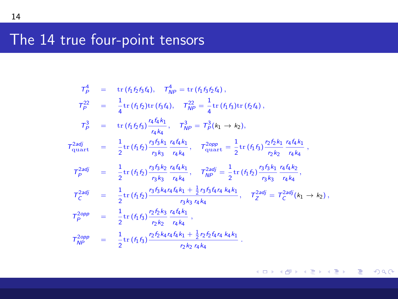## The 14 true four-point tensors

$$
T_{p}^{4} = \text{tr}(f_{1}f_{2}f_{3}f_{4}), \quad T_{NP}^{4} = \text{tr}(f_{1}f_{3}f_{2}f_{4}),
$$
\n
$$
T_{p}^{22} = \frac{1}{4}\text{tr}(f_{1}f_{2})\text{tr}(f_{3}f_{4}), \quad T_{NP}^{22} = \frac{1}{4}\text{tr}(f_{1}f_{3})\text{tr}(f_{2}f_{4}),
$$
\n
$$
T_{p}^{3} = \text{tr}(f_{1}f_{2}f_{3})\frac{r_{4}f_{4}f_{1}}{r_{4}k_{4}}, \quad T_{NP}^{3} = T_{p}^{3}(k_{1} \rightarrow k_{2}),
$$
\n
$$
T_{quart}^{2adj} = \frac{1}{2}\text{tr}(f_{1}f_{2})\frac{r_{3}f_{3}f_{1}}{r_{3}k_{3}}\frac{r_{4}f_{4}f_{1}}{r_{4}k_{4}}, \quad T_{quart}^{2opp} = \frac{1}{2}\text{tr}(f_{1}f_{3})\frac{r_{2}f_{2}f_{1}}{r_{3}k_{3}}\frac{r_{4}f_{4}f_{1}}{r_{4}k_{4}},
$$
\n
$$
T_{p}^{2adj} = \frac{1}{2}\text{tr}(f_{1}f_{2})\frac{r_{3}f_{3}f_{2}}{r_{3}k_{3}}\frac{r_{4}f_{4}f_{1}}{r_{4}k_{4}}, \quad T_{NP}^{2adj} = \frac{1}{2}\text{tr}(f_{1}f_{2})\frac{r_{3}f_{3}f_{1}}{r_{3}k_{3}}\frac{r_{4}f_{4}f_{2}}{r_{4}k_{4}},
$$
\n
$$
T_{C}^{2adj} = \frac{1}{2}\text{tr}(f_{1}f_{2})\frac{r_{3}f_{3}f_{4}r_{4}f_{4}f_{1} + \frac{1}{2}r_{3}f_{3}f_{4}r_{4}k_{4}}{r_{3}k_{3}}\frac{r_{4}f_{4}f_{4}}{r_{4}k_{4}}, \quad T_{Z}^{2adj} = T_{C}^{2adj}(k_{1} \rightarrow k_{2}),
$$
\n
$$
T_{PP}^{2opp} = \frac{1}{2}\text{tr}(f_{1}
$$

メロメ メ部メ メミメ メミメ

 $E = \Omega Q$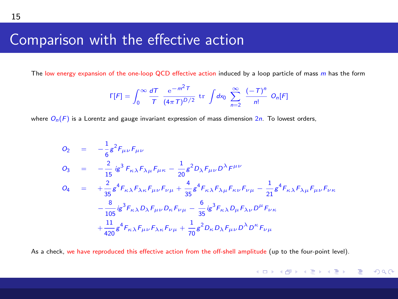### Comparison with the effective action

The low energy expansion of the one-loop QCD effective action induced by a loop particle of mass m has the form

$$
\Gamma[F] = \int_0^\infty \frac{dT}{T} \frac{e^{-m^2 T}}{(4\pi T)^{D/2}} \text{ tr } \int dx_0 \sum_{n=2}^\infty \frac{(-T)^n}{n!} O_n[F]
$$

where  $O_n(F)$  is a Lorentz and gauge invariant expression of mass dimension 2n. To lowest orders,

$$
O_2 = -\frac{1}{6}g^2 F_{\mu\nu}F_{\mu\nu}
$$
  
\n
$$
O_3 = -\frac{2}{15}ig^3 F_{\kappa\lambda}F_{\lambda\mu}F_{\mu\kappa} - \frac{1}{20}g^2 D_{\lambda}F_{\mu\nu}D^{\lambda}F^{\mu\nu}
$$
  
\n
$$
O_4 = +\frac{2}{35}g^4 F_{\kappa\lambda}F_{\lambda\kappa}F_{\mu\nu}F_{\nu\mu} + \frac{4}{35}g^4 F_{\kappa\lambda}F_{\lambda\mu}F_{\kappa\nu}F_{\nu\mu} - \frac{1}{21}g^4 F_{\kappa\lambda}F_{\lambda\mu}F_{\mu\nu}F_{\nu\kappa}
$$
  
\n
$$
-\frac{8}{105}ig^3 F_{\kappa\lambda}D_{\lambda}F_{\mu\nu}D_{\kappa}F_{\nu\mu} - \frac{6}{35}ig^3 F_{\kappa\lambda}D_{\mu}F_{\lambda\nu}D^{\mu}F_{\nu\kappa}
$$
  
\n
$$
+\frac{11}{420}g^4 F_{\kappa\lambda}F_{\mu\nu}F_{\lambda\kappa}F_{\nu\mu} + \frac{1}{70}g^2 D_{\kappa}D_{\lambda}F_{\mu\nu}D^{\lambda}D^{\kappa}F_{\nu\mu}
$$

As a check, we have reproduced this effective action from the off-shell amplitude (up to the four-point level).

メロメ メ御 メメ きょく ミメー

 $QQQ$ 

Ε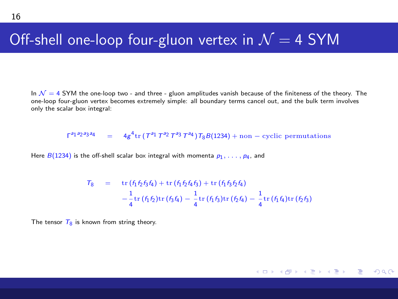#### Off-shell one-loop four-gluon vertex in  $\mathcal{N}=4$  SYM

In  $\mathcal{N} = 4$  SYM the one-loop two - and three - gluon amplitudes vanish because of the finiteness of the theory. The one-loop four-gluon vertex becomes extremely simple: all boundary terms cancel out, and the bulk term involves only the scalar box integral:

 $\Gamma^{a_1 a_2 a_3 a_4} = 4g^4 \text{tr} (\tau^{a_1} \tau^{a_2} \tau^{a_3} \tau^{a_4}) \tau_8 B(1234) + \text{non-cyclic permutations}$ 

Here  $B(1234)$  is the off-shell scalar box integral with momenta  $p_1, \ldots, p_4$ , and

$$
T_8 = \text{tr}(f_1 f_2 f_3 f_4) + \text{tr}(f_1 f_2 f_4 f_3) + \text{tr}(f_1 f_3 f_2 f_4)
$$
  

$$
-\frac{1}{4} \text{tr}(f_1 f_2) \text{tr}(f_3 f_4) - \frac{1}{4} \text{tr}(f_1 f_3) \text{tr}(f_2 f_4) - \frac{1}{4} \text{tr}(f_1 f_4) \text{tr}(f_2 f_3)
$$

The tensor  $\overline{T_0}$  is known from string theory.

メロメ メ御き メミメ メミメー  $\equiv$   $\Omega$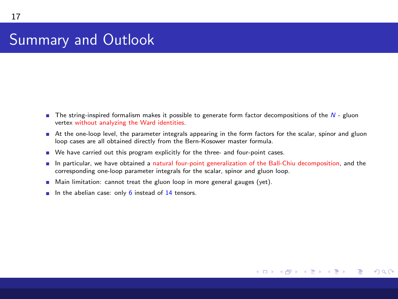## Summary and Outlook

- **The string-inspired formalism makes it possible to generate form factor decompositions of the**  $N$  **gluon** vertex without analyzing the Ward identities.
- At the one-loop level, the parameter integrals appearing in the form factors for the scalar, spinor and gluon loop cases are all obtained directly from the Bern-Kosower master formula.
- We have carried out this program explicitly for the three- and four-point cases.
- In particular, we have obtained a natural four-point generalization of the Ball-Chiu decomposition, and the corresponding one-loop parameter integrals for the scalar, spinor and gluon loop.

メロメ メ都 メメ きょ メモメ

Ε

<span id="page-16-0"></span> $\Omega$ 

- $\blacksquare$  Main limitation: cannot treat the gluon loop in more general gauges (yet).
- In the abelian case: only  $6$  instead of 14 tensors.